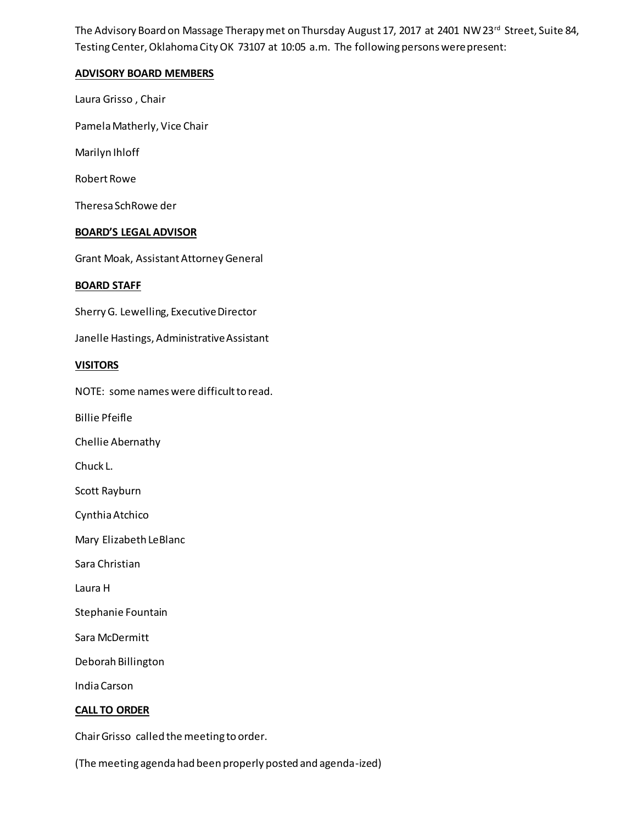The Advisory Board on Massage Therapy met on Thursday August 17, 2017 at 2401 NW 23<sup>rd</sup> Street, Suite 84, Testing Center, Oklahoma City OK 73107 at 10:05 a.m. The following persons were present:

## **ADVISORY BOARD MEMBERS**

Laura Grisso , Chair

Pamela Matherly, Vice Chair

Marilyn Ihloff

Robert Rowe

Theresa SchRowe der

### **BOARD'S LEGAL ADVISOR**

Grant Moak, Assistant Attorney General

### **BOARD STAFF**

Sherry G. Lewelling, Executive Director

Janelle Hastings, Administrative Assistant

### **VISITORS**

NOTE: some names were difficult to read.

Billie Pfeifle

Chellie Abernathy

Chuck L.

Scott Rayburn

Cynthia Atchico

Mary Elizabeth LeBlanc

Sara Christian

Laura H

Stephanie Fountain

Sara McDermitt

Deborah Billington

India Carson

### **CALL TO ORDER**

Chair Grisso called the meeting to order.

(The meeting agenda had been properly posted and agenda-ized)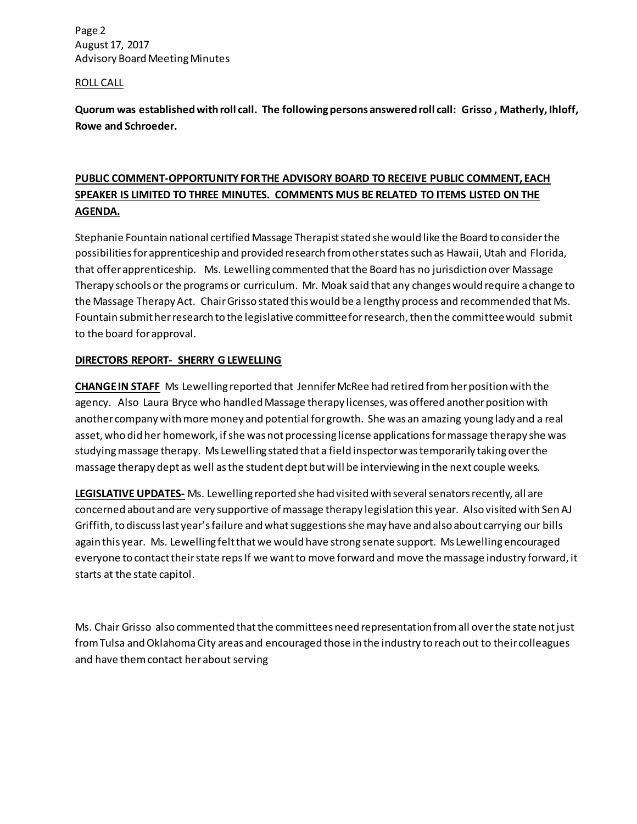Page 2 August 17, 2017 Advisory Board Meeting Minutes

### ROLL CALL

**Quorum was established with roll call. The following persons answered roll call: Grisso , Matherly, Ihloff, Rowe and Schroeder.**

# **PUBLIC COMMENT-OPPORTUNITY FOR THE ADVISORY BOARD TO RECEIVE PUBLIC COMMENT, EACH SPEAKER IS LIMITED TO THREE MINUTES. COMMENTS MUS BE RELATED TO ITEMS LISTED ON THE AGENDA.**

Stephanie Fountain national certified Massage Therapist stated she would like the Board to consider the possibilities for apprenticeship and provided research from other states such as Hawaii, Utah and Florida, that offer apprenticeship. Ms. Lewelling commented that the Board has no jurisdiction over Massage Therapy schools or the programs or curriculum. Mr. Moak said that any changes would require a change to the Massage Therapy Act. ChairGrisso stated this would be a lengthy process and recommended that Ms. Fountain submit her research to the legislative committee for research, then the committee would submit to the board for approval.

## **DIRECTORS REPORT- SHERRY G LEWELLING**

**CHANGE IN STAFF** Ms Lewelling reported that Jennifer McRee had retired from her position with the agency. Also Laura Bryce who handled Massage therapy licenses, was offered another position with another company with more money and potential for growth. She was an amazing young lady and a real asset, who did her homework, if she was not processing license applications for massage therapy she was studying massage therapy. Ms Lewelling stated that a field inspector was temporarily taking over the massage therapy dept as well as the student dept but will be interviewing in the next couple weeks.

**LEGISLATIVE UPDATES-** Ms. Lewelling reported she had visited with several senators recently, all are concerned about and are very supportive of massage therapy legislation this year. Also visited with Sen AJ Griffith, to discuss last year's failure and what suggestions she may have and also about carrying our bills again this year. Ms. Lewelling felt that we would have strong senate support. Ms Lewelling encouraged everyone to contact their state reps If we want to move forward and move the massage industry forward, it starts at the state capitol.

Ms. Chair Grisso also commented that the committees need representation from all over the state not just from Tulsa and Oklahoma City areas and encouraged those in the industry to reach out to their colleagues and have them contact her about serving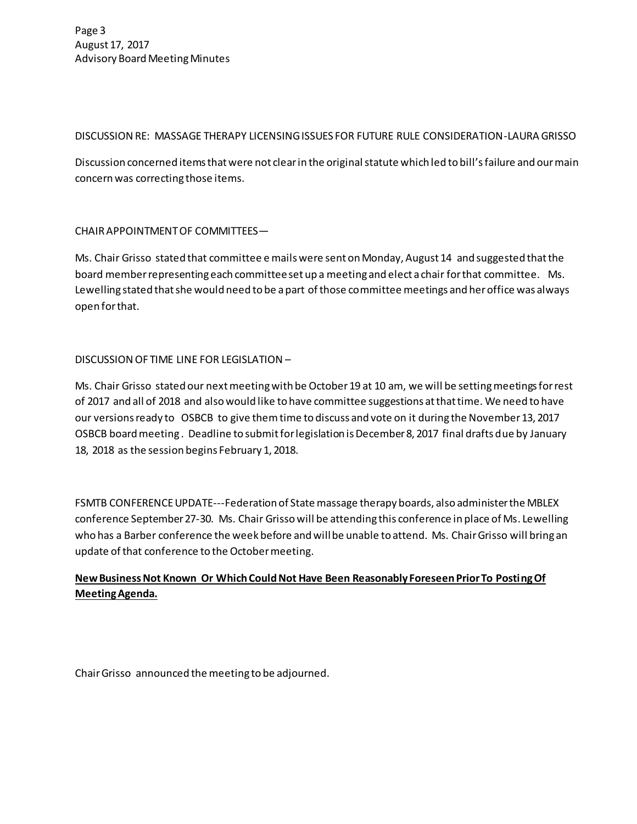## DISCUSSION RE: MASSAGE THERAPY LICENSING ISSUES FOR FUTURE RULE CONSIDERATION-LAURA GRISSO

Discussion concerned items that were not clear in the original statute which led to bill's failure and our main concern was correcting those items.

# CHAIR APPOINTMENT OF COMMITTEES—

Ms. Chair Grisso stated that committee e mails were sent on Monday, August 14 and suggested that the board member representing each committee set up a meeting and elect a chair for that committee. Ms. Lewelling stated that she would need to be a part of those committee meetings and her office was always open for that.

# DISCUSSION OF TIME LINE FOR LEGISLATION –

Ms. Chair Grisso stated our next meeting with be October 19 at 10 am, we will be setting meetings for rest of 2017 and all of 2018 and also would like to have committee suggestions at that time. We need to have our versions ready to OSBCB to give themtime to discuss and vote on it during the November 13, 2017 OSBCB board meeting . Deadline to submit for legislation is December 8, 2017 final drafts due by January 18, 2018 as the session begins February 1, 2018.

FSMTB CONFERENCE UPDATE---Federation of State massage therapy boards, also administer the MBLEX conference September 27-30. Ms. Chair Grisso will be attending this conference in place of Ms. Lewelling who has a Barber conference the week before and will be unable to attend. Ms. Chair Grisso will bring an update of that conference to the October meeting.

# **New Business Not Known Or Which Could Not Have Been Reasonably Foreseen Prior To Posting Of Meeting Agenda.**

Chair Grisso announced the meeting to be adjourned.